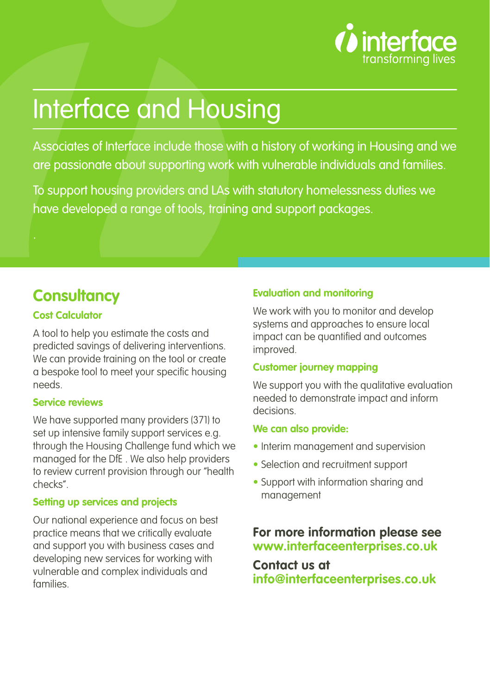

# Interface and Housing

Associates of Interface include those with a history of working in Housing and we are passionate about supporting work with vulnerable individuals and families.

To support housing providers and LAs with statutory homelessness duties we have developed a range of tools, training and support packages.

# **Consultancy**

## **Cost Calculator**

A tool to help you estimate the costs and predicted savings of delivering interventions. We can provide training on the tool or create a bespoke tool to meet your specific housing needs.

## **Service reviews**

We have supported many providers (371) to set up intensive family support services e.g. through the Housing Challenge fund which we managed for the DfE . We also help providers to review current provision through our "health checks".

#### **Setting up services and projects**

Our national experience and focus on best practice means that we critically evaluate and support you with business cases and developing new services for working with vulnerable and complex individuals and families.

## **Evaluation and monitoring**

We work with you to monitor and develop systems and approaches to ensure local impact can be quantified and outcomes improved.

#### **Customer journey mapping**

We support you with the qualitative evaluation needed to demonstrate impact and inform decisions.

#### **We can also provide:**

- Interim management and supervision
- Selection and recruitment support
- Support with information sharing and management

# **For more information please see www.interfaceenterprises.co.uk**

**Contact us at info@interfaceenterprises.co.uk**